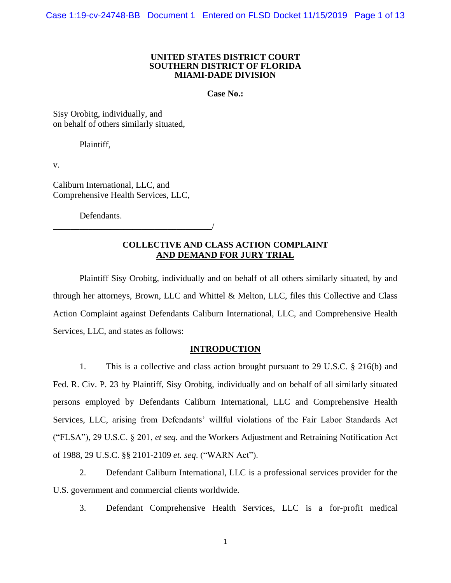#### **UNITED STATES DISTRICT COURT SOUTHERN DISTRICT OF FLORIDA MIAMI-DADE DIVISION**

**Case No.:**

Sisy Orobitg, individually, and on behalf of others similarly situated,

Plaintiff,

v.

Caliburn International, LLC, and Comprehensive Health Services, LLC,

Defendants.

\_\_\_\_\_\_\_\_\_\_\_\_\_\_\_\_\_\_\_\_\_\_\_\_\_\_\_\_\_\_\_\_\_\_\_\_/

## **COLLECTIVE AND CLASS ACTION COMPLAINT AND DEMAND FOR JURY TRIAL**

Plaintiff Sisy Orobitg, individually and on behalf of all others similarly situated, by and through her attorneys, Brown, LLC and Whittel & Melton, LLC, files this Collective and Class Action Complaint against Defendants Caliburn International, LLC, and Comprehensive Health Services, LLC, and states as follows:

## **INTRODUCTION**

1. This is a collective and class action brought pursuant to 29 U.S.C. § 216(b) and Fed. R. Civ. P. 23 by Plaintiff, Sisy Orobitg, individually and on behalf of all similarly situated persons employed by Defendants Caliburn International, LLC and Comprehensive Health Services, LLC, arising from Defendants' willful violations of the Fair Labor Standards Act ("FLSA"), 29 U.S.C. § 201, *et seq.* and the Workers Adjustment and Retraining Notification Act of 1988, 29 U.S.C. §§ 2101-2109 *et. seq*. ("WARN Act").

2. Defendant Caliburn International, LLC is a professional services provider for the U.S. government and commercial clients worldwide.

3. Defendant Comprehensive Health Services, LLC is a for-profit medical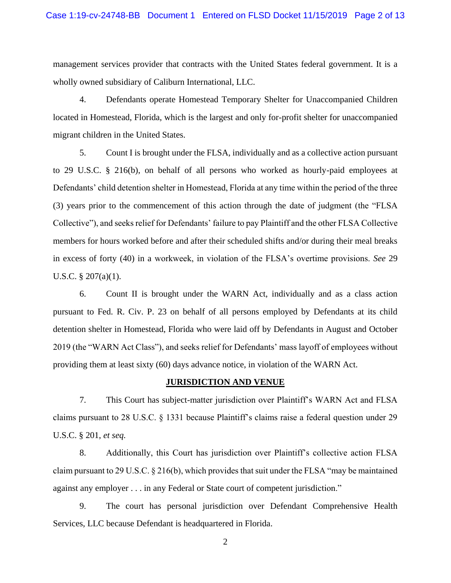management services provider that contracts with the United States federal government. It is a wholly owned subsidiary of Caliburn International, LLC.

4. Defendants operate Homestead Temporary Shelter for Unaccompanied Children located in Homestead, Florida, which is the largest and only for-profit shelter for unaccompanied migrant children in the United States.

5. Count I is brought under the FLSA, individually and as a collective action pursuant to 29 U.S.C. § 216(b), on behalf of all persons who worked as hourly-paid employees at Defendants' child detention shelter in Homestead, Florida at any time within the period of the three (3) years prior to the commencement of this action through the date of judgment (the "FLSA Collective"), and seeks relief for Defendants' failure to pay Plaintiff and the other FLSA Collective members for hours worked before and after their scheduled shifts and/or during their meal breaks in excess of forty (40) in a workweek, in violation of the FLSA's overtime provisions. *See* 29 U.S.C. § 207(a)(1).

6. Count II is brought under the WARN Act, individually and as a class action pursuant to Fed. R. Civ. P. 23 on behalf of all persons employed by Defendants at its child detention shelter in Homestead, Florida who were laid off by Defendants in August and October 2019 (the "WARN Act Class"), and seeks relief for Defendants' mass layoff of employees without providing them at least sixty (60) days advance notice, in violation of the WARN Act.

### **JURISDICTION AND VENUE**

7. This Court has subject-matter jurisdiction over Plaintiff's WARN Act and FLSA claims pursuant to 28 U.S.C. § 1331 because Plaintiff's claims raise a federal question under 29 U.S.C. § 201, *et seq.*

8. Additionally, this Court has jurisdiction over Plaintiff's collective action FLSA claim pursuant to 29 U.S.C.  $\S 216(b)$ , which provides that suit under the FLSA "may be maintained against any employer . . . in any Federal or State court of competent jurisdiction."

9. The court has personal jurisdiction over Defendant Comprehensive Health Services, LLC because Defendant is headquartered in Florida.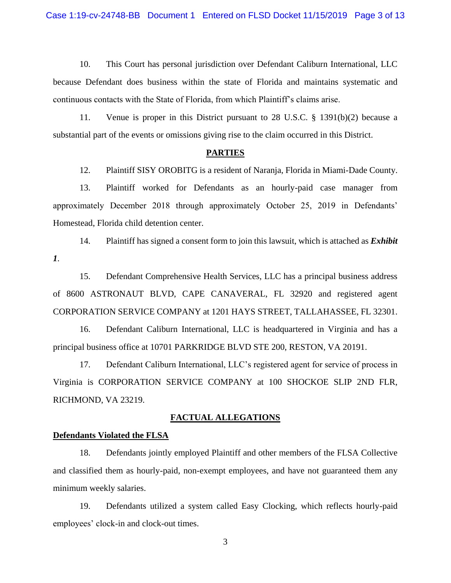10. This Court has personal jurisdiction over Defendant Caliburn International, LLC because Defendant does business within the state of Florida and maintains systematic and continuous contacts with the State of Florida, from which Plaintiff's claims arise.

11. Venue is proper in this District pursuant to 28 U.S.C. § 1391(b)(2) because a substantial part of the events or omissions giving rise to the claim occurred in this District.

#### **PARTIES**

12. Plaintiff SISY OROBITG is a resident of Naranja, Florida in Miami-Dade County.

13. Plaintiff worked for Defendants as an hourly-paid case manager from approximately December 2018 through approximately October 25, 2019 in Defendants' Homestead, Florida child detention center.

14. Plaintiff has signed a consent form to join this lawsuit, which is attached as *Exhibit 1*.

15. Defendant Comprehensive Health Services, LLC has a principal business address of 8600 ASTRONAUT BLVD, CAPE CANAVERAL, FL 32920 and registered agent CORPORATION SERVICE COMPANY at 1201 HAYS STREET, TALLAHASSEE, FL 32301.

16. Defendant Caliburn International, LLC is headquartered in Virginia and has a principal business office at 10701 PARKRIDGE BLVD STE 200, RESTON, VA 20191.

17. Defendant Caliburn International, LLC's registered agent for service of process in Virginia is CORPORATION SERVICE COMPANY at 100 SHOCKOE SLIP 2ND FLR, RICHMOND, VA 23219.

### **FACTUAL ALLEGATIONS**

## **Defendants Violated the FLSA**

18. Defendants jointly employed Plaintiff and other members of the FLSA Collective and classified them as hourly-paid, non-exempt employees, and have not guaranteed them any minimum weekly salaries.

19. Defendants utilized a system called Easy Clocking, which reflects hourly-paid employees' clock-in and clock-out times.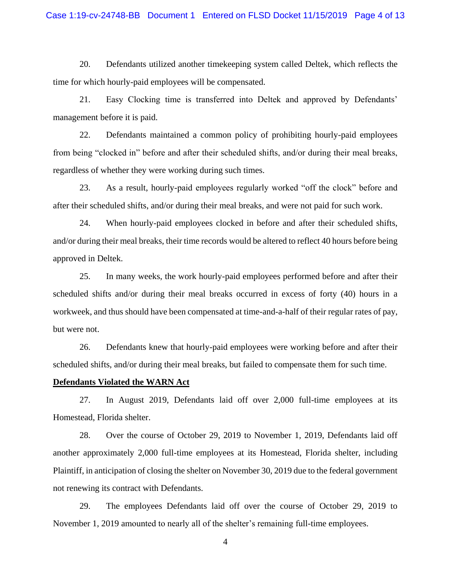20. Defendants utilized another timekeeping system called Deltek, which reflects the time for which hourly-paid employees will be compensated.

21. Easy Clocking time is transferred into Deltek and approved by Defendants' management before it is paid.

22. Defendants maintained a common policy of prohibiting hourly-paid employees from being "clocked in" before and after their scheduled shifts, and/or during their meal breaks, regardless of whether they were working during such times.

23. As a result, hourly-paid employees regularly worked "off the clock" before and after their scheduled shifts, and/or during their meal breaks, and were not paid for such work.

24. When hourly-paid employees clocked in before and after their scheduled shifts, and/or during their meal breaks, their time records would be altered to reflect 40 hours before being approved in Deltek.

25. In many weeks, the work hourly-paid employees performed before and after their scheduled shifts and/or during their meal breaks occurred in excess of forty (40) hours in a workweek, and thus should have been compensated at time-and-a-half of their regular rates of pay, but were not.

26. Defendants knew that hourly-paid employees were working before and after their scheduled shifts, and/or during their meal breaks, but failed to compensate them for such time.

## **Defendants Violated the WARN Act**

27. In August 2019, Defendants laid off over 2,000 full-time employees at its Homestead, Florida shelter.

28. Over the course of October 29, 2019 to November 1, 2019, Defendants laid off another approximately 2,000 full-time employees at its Homestead, Florida shelter, including Plaintiff, in anticipation of closing the shelter on November 30, 2019 due to the federal government not renewing its contract with Defendants.

29. The employees Defendants laid off over the course of October 29, 2019 to November 1, 2019 amounted to nearly all of the shelter's remaining full-time employees.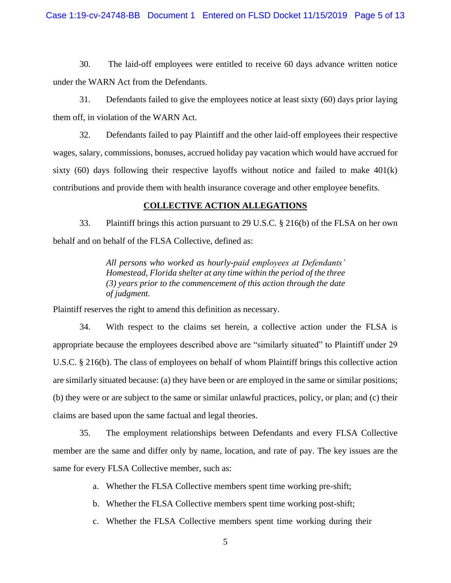#### Case 1:19-cv-24748-BB Document 1 Entered on FLSD Docket 11/15/2019 Page 5 of 13

30. The laid-off employees were entitled to receive 60 days advance written notice under the WARN Act from the Defendants.

31. Defendants failed to give the employees notice at least sixty (60) days prior laying them off, in violation of the WARN Act.

32. Defendants failed to pay Plaintiff and the other laid-off employees their respective wages, salary, commissions, bonuses, accrued holiday pay vacation which would have accrued for sixty  $(60)$  days following their respective layoffs without notice and failed to make  $401(k)$ contributions and provide them with health insurance coverage and other employee benefits.

## **COLLECTIVE ACTION ALLEGATIONS**

33. Plaintiff brings this action pursuant to 29 U.S.C. § 216(b) of the FLSA on her own behalf and on behalf of the FLSA Collective, defined as:

> *All persons who worked as hourly-paid employees at Defendants' Homestead, Florida shelter at any time within the period of the three (3) years prior to the commencement of this action through the date of judgment.*

Plaintiff reserves the right to amend this definition as necessary.

34. With respect to the claims set herein, a collective action under the FLSA is appropriate because the employees described above are "similarly situated" to Plaintiff under 29 U.S.C. § 216(b). The class of employees on behalf of whom Plaintiff brings this collective action are similarly situated because: (a) they have been or are employed in the same or similar positions; (b) they were or are subject to the same or similar unlawful practices, policy, or plan; and (c) their claims are based upon the same factual and legal theories.

35. The employment relationships between Defendants and every FLSA Collective member are the same and differ only by name, location, and rate of pay. The key issues are the same for every FLSA Collective member, such as:

- a. Whether the FLSA Collective members spent time working pre-shift;
- b. Whether the FLSA Collective members spent time working post-shift;
- c. Whether the FLSA Collective members spent time working during their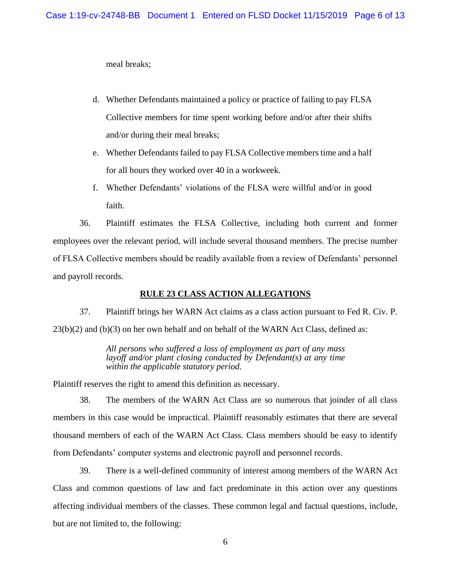meal breaks;

- d. Whether Defendants maintained a policy or practice of failing to pay FLSA Collective members for time spent working before and/or after their shifts and/or during their meal breaks;
- e. Whether Defendants failed to pay FLSA Collective members time and a half for all hours they worked over 40 in a workweek.
- f. Whether Defendants' violations of the FLSA were willful and/or in good faith.

36. Plaintiff estimates the FLSA Collective, including both current and former employees over the relevant period, will include several thousand members. The precise number of FLSA Collective members should be readily available from a review of Defendants' personnel and payroll records.

## **RULE 23 CLASS ACTION ALLEGATIONS**

37. Plaintiff brings her WARN Act claims as a class action pursuant to Fed R. Civ. P. 23(b)(2) and (b)(3) on her own behalf and on behalf of the WARN Act Class, defined as:

> *All persons who suffered a loss of employment as part of any mass layoff and/or plant closing conducted by Defendant(s) at any time within the applicable statutory period.*

Plaintiff reserves the right to amend this definition as necessary.

38. The members of the WARN Act Class are so numerous that joinder of all class members in this case would be impractical. Plaintiff reasonably estimates that there are several thousand members of each of the WARN Act Class. Class members should be easy to identify from Defendants' computer systems and electronic payroll and personnel records.

39. There is a well-defined community of interest among members of the WARN Act Class and common questions of law and fact predominate in this action over any questions affecting individual members of the classes. These common legal and factual questions, include, but are not limited to, the following: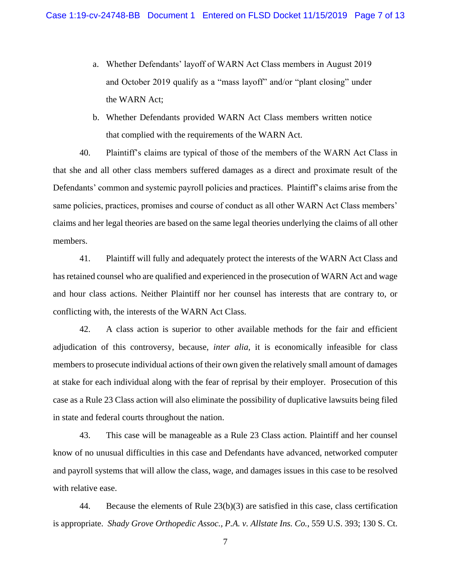- a. Whether Defendants' layoff of WARN Act Class members in August 2019 and October 2019 qualify as a "mass layoff" and/or "plant closing" under the WARN Act;
- b. Whether Defendants provided WARN Act Class members written notice that complied with the requirements of the WARN Act.

40. Plaintiff's claims are typical of those of the members of the WARN Act Class in that she and all other class members suffered damages as a direct and proximate result of the Defendants' common and systemic payroll policies and practices. Plaintiff's claims arise from the same policies, practices, promises and course of conduct as all other WARN Act Class members' claims and her legal theories are based on the same legal theories underlying the claims of all other members.

41. Plaintiff will fully and adequately protect the interests of the WARN Act Class and has retained counsel who are qualified and experienced in the prosecution of WARN Act and wage and hour class actions. Neither Plaintiff nor her counsel has interests that are contrary to, or conflicting with, the interests of the WARN Act Class.

42. A class action is superior to other available methods for the fair and efficient adjudication of this controversy, because, *inter alia*, it is economically infeasible for class members to prosecute individual actions of their own given the relatively small amount of damages at stake for each individual along with the fear of reprisal by their employer. Prosecution of this case as a Rule 23 Class action will also eliminate the possibility of duplicative lawsuits being filed in state and federal courts throughout the nation.

43. This case will be manageable as a Rule 23 Class action. Plaintiff and her counsel know of no unusual difficulties in this case and Defendants have advanced, networked computer and payroll systems that will allow the class, wage, and damages issues in this case to be resolved with relative ease.

44. Because the elements of Rule 23(b)(3) are satisfied in this case, class certification is appropriate. *Shady Grove Orthopedic Assoc., P.A. v. Allstate Ins. Co.*, 559 U.S. 393; 130 S. Ct.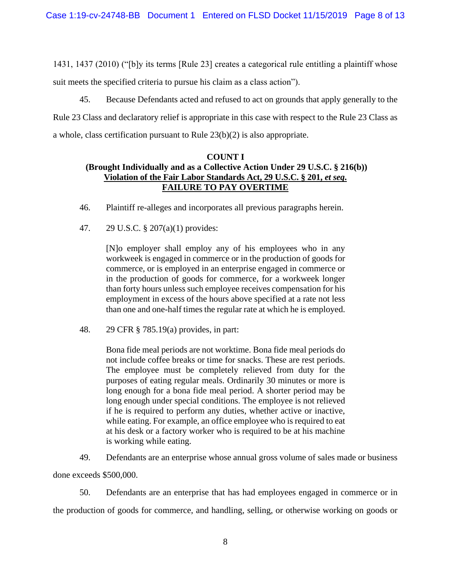1431, 1437 (2010) ("[b]y its terms [Rule 23] creates a categorical rule entitling a plaintiff whose suit meets the specified criteria to pursue his claim as a class action").

45. Because Defendants acted and refused to act on grounds that apply generally to the Rule 23 Class and declaratory relief is appropriate in this case with respect to the Rule 23 Class as a whole, class certification pursuant to Rule 23(b)(2) is also appropriate.

# **COUNT I (Brought Individually and as a Collective Action Under 29 U.S.C. § 216(b)) Violation of the Fair Labor Standards Act, 29 U.S.C. § 201,** *et seq***. FAILURE TO PAY OVERTIME**

- 46. Plaintiff re-alleges and incorporates all previous paragraphs herein.
- 47. 29 U.S.C. § 207(a)(1) provides:

[N]o employer shall employ any of his employees who in any workweek is engaged in commerce or in the production of goods for commerce, or is employed in an enterprise engaged in commerce or in the production of goods for commerce, for a workweek longer than forty hours unless such employee receives compensation for his employment in excess of the hours above specified at a rate not less than one and one-half times the regular rate at which he is employed.

48. 29 CFR § 785.19(a) provides, in part:

Bona fide meal periods are not worktime. Bona fide meal periods do not include coffee breaks or time for snacks. These are rest periods. The employee must be completely relieved from duty for the purposes of eating regular meals. Ordinarily 30 minutes or more is long enough for a bona fide meal period. A shorter period may be long enough under special conditions. The employee is not relieved if he is required to perform any duties, whether active or inactive, while eating. For example, an office employee who is required to eat at his desk or a factory worker who is required to be at his machine is working while eating.

49. Defendants are an enterprise whose annual gross volume of sales made or business

done exceeds \$500,000.

50. Defendants are an enterprise that has had employees engaged in commerce or in the production of goods for commerce, and handling, selling, or otherwise working on goods or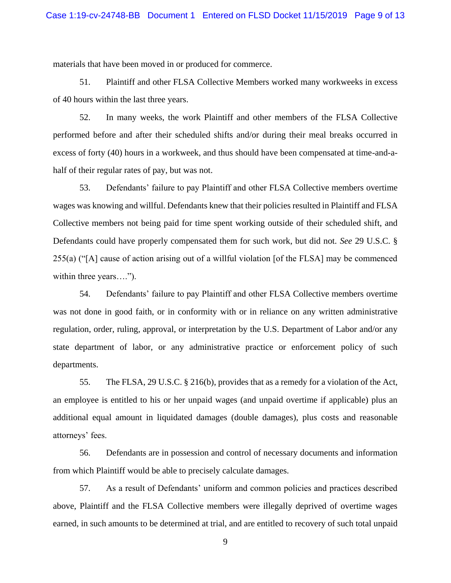materials that have been moved in or produced for commerce.

51. Plaintiff and other FLSA Collective Members worked many workweeks in excess of 40 hours within the last three years.

52. In many weeks, the work Plaintiff and other members of the FLSA Collective performed before and after their scheduled shifts and/or during their meal breaks occurred in excess of forty (40) hours in a workweek, and thus should have been compensated at time-and-ahalf of their regular rates of pay, but was not.

53. Defendants' failure to pay Plaintiff and other FLSA Collective members overtime wages was knowing and willful. Defendants knew that their policies resulted in Plaintiff and FLSA Collective members not being paid for time spent working outside of their scheduled shift, and Defendants could have properly compensated them for such work, but did not. *See* 29 U.S.C. § 255(a) ("[A] cause of action arising out of a willful violation [of the FLSA] may be commenced within three years....").

54. Defendants' failure to pay Plaintiff and other FLSA Collective members overtime was not done in good faith, or in conformity with or in reliance on any written administrative regulation, order, ruling, approval, or interpretation by the U.S. Department of Labor and/or any state department of labor, or any administrative practice or enforcement policy of such departments.

55. The FLSA, 29 U.S.C. § 216(b), provides that as a remedy for a violation of the Act, an employee is entitled to his or her unpaid wages (and unpaid overtime if applicable) plus an additional equal amount in liquidated damages (double damages), plus costs and reasonable attorneys' fees.

56. Defendants are in possession and control of necessary documents and information from which Plaintiff would be able to precisely calculate damages.

57. As a result of Defendants' uniform and common policies and practices described above, Plaintiff and the FLSA Collective members were illegally deprived of overtime wages earned, in such amounts to be determined at trial, and are entitled to recovery of such total unpaid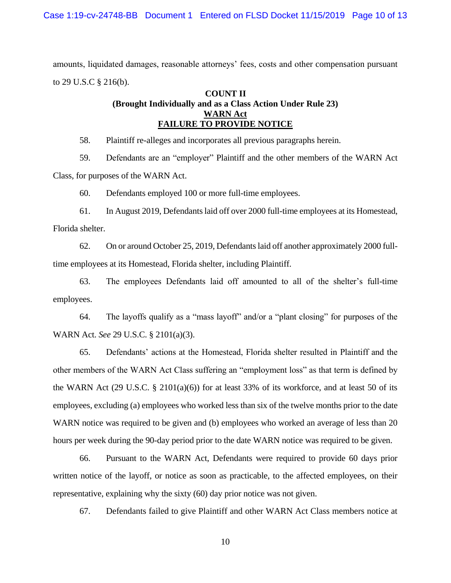amounts, liquidated damages, reasonable attorneys' fees, costs and other compensation pursuant to 29 U.S.C § 216(b).

# **COUNT II (Brought Individually and as a Class Action Under Rule 23) WARN Act FAILURE TO PROVIDE NOTICE**

58. Plaintiff re-alleges and incorporates all previous paragraphs herein.

59. Defendants are an "employer" Plaintiff and the other members of the WARN Act Class, for purposes of the WARN Act.

60. Defendants employed 100 or more full-time employees.

61. In August 2019, Defendants laid off over 2000 full-time employees at its Homestead, Florida shelter.

62. On or around October 25, 2019, Defendants laid off another approximately 2000 fulltime employees at its Homestead, Florida shelter, including Plaintiff.

63. The employees Defendants laid off amounted to all of the shelter's full-time employees.

64. The layoffs qualify as a "mass layoff" and/or a "plant closing" for purposes of the WARN Act. *See* 29 U.S.C. § 2101(a)(3).

65. Defendants' actions at the Homestead, Florida shelter resulted in Plaintiff and the other members of the WARN Act Class suffering an "employment loss" as that term is defined by the WARN Act (29 U.S.C. § 2101(a)(6)) for at least 33% of its workforce, and at least 50 of its employees, excluding (a) employees who worked less than six of the twelve months prior to the date WARN notice was required to be given and (b) employees who worked an average of less than 20 hours per week during the 90-day period prior to the date WARN notice was required to be given.

66. Pursuant to the WARN Act, Defendants were required to provide 60 days prior written notice of the layoff, or notice as soon as practicable, to the affected employees, on their representative, explaining why the sixty (60) day prior notice was not given.

67. Defendants failed to give Plaintiff and other WARN Act Class members notice at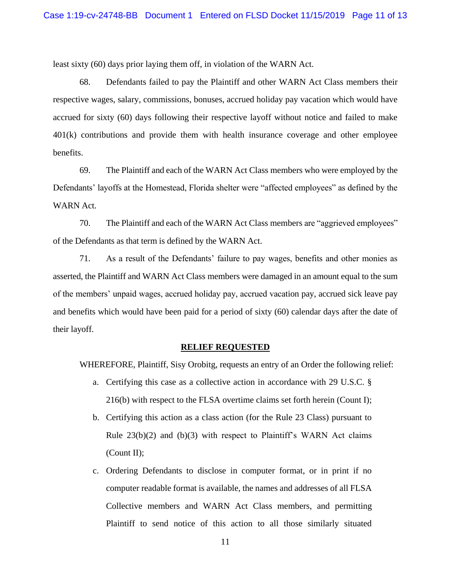least sixty (60) days prior laying them off, in violation of the WARN Act.

68. Defendants failed to pay the Plaintiff and other WARN Act Class members their respective wages, salary, commissions, bonuses, accrued holiday pay vacation which would have accrued for sixty (60) days following their respective layoff without notice and failed to make 401(k) contributions and provide them with health insurance coverage and other employee benefits.

69. The Plaintiff and each of the WARN Act Class members who were employed by the Defendants' layoffs at the Homestead, Florida shelter were "affected employees" as defined by the WARN Act.

70. The Plaintiff and each of the WARN Act Class members are "aggrieved employees" of the Defendants as that term is defined by the WARN Act.

71. As a result of the Defendants' failure to pay wages, benefits and other monies as asserted, the Plaintiff and WARN Act Class members were damaged in an amount equal to the sum of the members' unpaid wages, accrued holiday pay, accrued vacation pay, accrued sick leave pay and benefits which would have been paid for a period of sixty (60) calendar days after the date of their layoff.

#### **RELIEF REQUESTED**

WHEREFORE, Plaintiff, Sisy Orobitg, requests an entry of an Order the following relief:

- a. Certifying this case as a collective action in accordance with 29 U.S.C. § 216(b) with respect to the FLSA overtime claims set forth herein (Count I);
- b. Certifying this action as a class action (for the Rule 23 Class) pursuant to Rule  $23(b)(2)$  and  $(b)(3)$  with respect to Plaintiff's WARN Act claims (Count II);
- c. Ordering Defendants to disclose in computer format, or in print if no computer readable format is available, the names and addresses of all FLSA Collective members and WARN Act Class members, and permitting Plaintiff to send notice of this action to all those similarly situated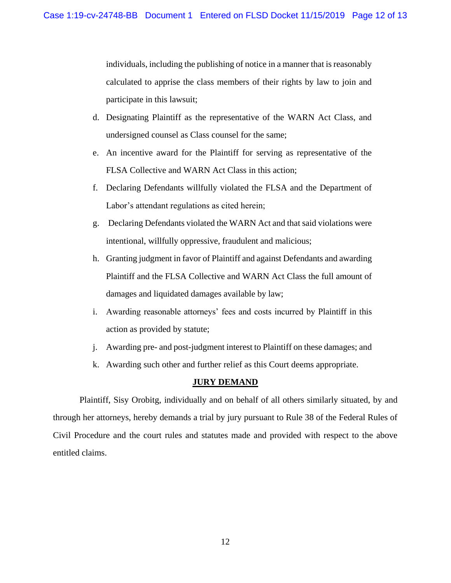individuals, including the publishing of notice in a manner that is reasonably calculated to apprise the class members of their rights by law to join and participate in this lawsuit;

- d. Designating Plaintiff as the representative of the WARN Act Class, and undersigned counsel as Class counsel for the same;
- e. An incentive award for the Plaintiff for serving as representative of the FLSA Collective and WARN Act Class in this action;
- f. Declaring Defendants willfully violated the FLSA and the Department of Labor's attendant regulations as cited herein;
- g. Declaring Defendants violated the WARN Act and that said violations were intentional, willfully oppressive, fraudulent and malicious;
- h. Granting judgment in favor of Plaintiff and against Defendants and awarding Plaintiff and the FLSA Collective and WARN Act Class the full amount of damages and liquidated damages available by law;
- i. Awarding reasonable attorneys' fees and costs incurred by Plaintiff in this action as provided by statute;
- j. Awarding pre- and post-judgment interest to Plaintiff on these damages; and
- k. Awarding such other and further relief as this Court deems appropriate.

## **JURY DEMAND**

Plaintiff, Sisy Orobitg, individually and on behalf of all others similarly situated, by and through her attorneys, hereby demands a trial by jury pursuant to Rule 38 of the Federal Rules of Civil Procedure and the court rules and statutes made and provided with respect to the above entitled claims.